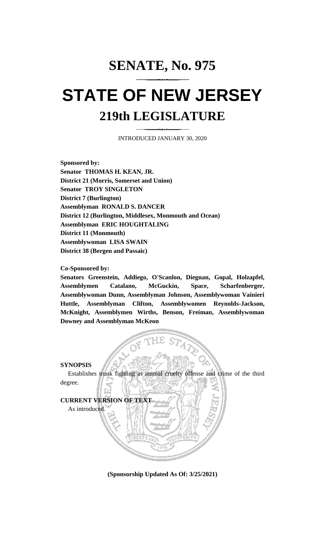## **SENATE, No. 975 STATE OF NEW JERSEY 219th LEGISLATURE**

INTRODUCED JANUARY 30, 2020

**Sponsored by: Senator THOMAS H. KEAN, JR. District 21 (Morris, Somerset and Union) Senator TROY SINGLETON District 7 (Burlington) Assemblyman RONALD S. DANCER District 12 (Burlington, Middlesex, Monmouth and Ocean) Assemblyman ERIC HOUGHTALING District 11 (Monmouth) Assemblywoman LISA SWAIN District 38 (Bergen and Passaic)**

## **Co-Sponsored by:**

**Senators Greenstein, Addiego, O'Scanlon, Diegnan, Gopal, Holzapfel, Assemblymen Catalano, McGuckin, Space, Scharfenberger, Assemblywoman Dunn, Assemblyman Johnson, Assemblywoman Vainieri Huttle, Assemblyman Clifton, Assemblywomen Reynolds-Jackson, McKnight, Assemblymen Wirths, Benson, Freiman, Assemblywoman Downey and Assemblyman McKeon**

## **SYNOPSIS**

Establishes trunk fighting as animal cruelty offense and crime of the third degree.

**ttE S1',1** 



**(Sponsorship Updated As Of: 3/25/2021)**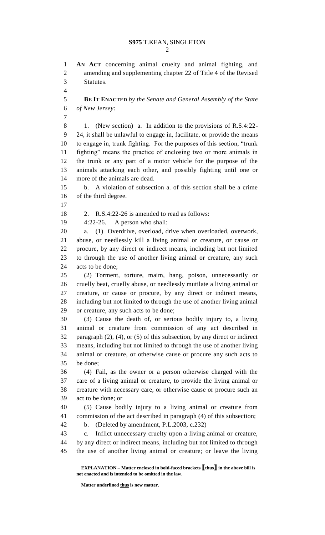**AN ACT** concerning animal cruelty and animal fighting, and amending and supplementing chapter 22 of Title 4 of the Revised Statutes.

 **BE IT ENACTED** *by the Senate and General Assembly of the State of New Jersey:*

 1. (New section) a. In addition to the provisions of R.S.4:22- 24, it shall be unlawful to engage in, facilitate, or provide the means to engage in, trunk fighting. For the purposes of this section, "trunk fighting" means the practice of enclosing two or more animals in the trunk or any part of a motor vehicle for the purpose of the animals attacking each other, and possibly fighting until one or more of the animals are dead.

 b. A violation of subsection a. of this section shall be a crime of the third degree.

2. R.S.4:22-26 is amended to read as follows:

4:22-26. A person who shall:

 a. (1) Overdrive, overload, drive when overloaded, overwork, abuse, or needlessly kill a living animal or creature, or cause or procure, by any direct or indirect means, including but not limited to through the use of another living animal or creature, any such acts to be done;

 (2) Torment, torture, maim, hang, poison, unnecessarily or cruelly beat, cruelly abuse, or needlessly mutilate a living animal or creature, or cause or procure, by any direct or indirect means, including but not limited to through the use of another living animal or creature, any such acts to be done;

 (3) Cause the death of, or serious bodily injury to, a living animal or creature from commission of any act described in paragraph (2), (4), or (5) of this subsection, by any direct or indirect means, including but not limited to through the use of another living animal or creature, or otherwise cause or procure any such acts to be done;

 (4) Fail, as the owner or a person otherwise charged with the care of a living animal or creature, to provide the living animal or creature with necessary care, or otherwise cause or procure such an act to be done; or

 (5) Cause bodily injury to a living animal or creature from commission of the act described in paragraph (4) of this subsection;

b. (Deleted by amendment, P.L.2003, c.232)

 c. Inflict unnecessary cruelty upon a living animal or creature, by any direct or indirect means, including but not limited to through the use of another living animal or creature; or leave the living

**EXPLANATION – Matter enclosed in bold-faced brackets [thus] in the above bill is not enacted and is intended to be omitted in the law.**

Matter underlined <u>thus</u> is new matter.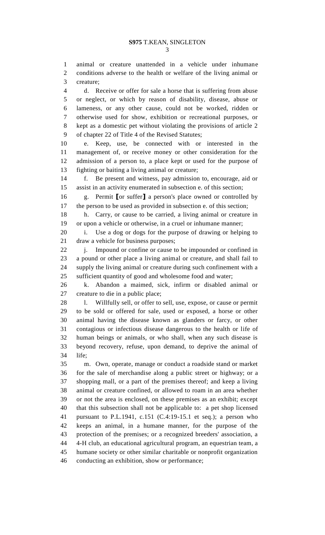animal or creature unattended in a vehicle under inhumane conditions adverse to the health or welfare of the living animal or creature;

 d. Receive or offer for sale a horse that is suffering from abuse or neglect, or which by reason of disability, disease, abuse or lameness, or any other cause, could not be worked, ridden or otherwise used for show, exhibition or recreational purposes, or kept as a domestic pet without violating the provisions of article 2 of chapter 22 of Title 4 of the Revised Statutes;

 e. Keep, use, be connected with or interested in the management of, or receive money or other consideration for the admission of a person to, a place kept or used for the purpose of fighting or baiting a living animal or creature;

 f. Be present and witness, pay admission to, encourage, aid or assist in an activity enumerated in subsection e. of this section;

 g. Permit **[**or suffer**]** a person's place owned or controlled by the person to be used as provided in subsection e. of this section;

 h. Carry, or cause to be carried, a living animal or creature in or upon a vehicle or otherwise, in a cruel or inhumane manner;

 i. Use a dog or dogs for the purpose of drawing or helping to draw a vehicle for business purposes;

22 j. Impound or confine or cause to be impounded or confined in a pound or other place a living animal or creature, and shall fail to supply the living animal or creature during such confinement with a sufficient quantity of good and wholesome food and water;

 k. Abandon a maimed, sick, infirm or disabled animal or creature to die in a public place;

28 l. Willfully sell, or offer to sell, use, expose, or cause or permit to be sold or offered for sale, used or exposed, a horse or other animal having the disease known as glanders or farcy, or other contagious or infectious disease dangerous to the health or life of human beings or animals, or who shall, when any such disease is beyond recovery, refuse, upon demand, to deprive the animal of life;

 m. Own, operate, manage or conduct a roadside stand or market for the sale of merchandise along a public street or highway; or a shopping mall, or a part of the premises thereof; and keep a living animal or creature confined, or allowed to roam in an area whether or not the area is enclosed, on these premises as an exhibit; except that this subsection shall not be applicable to: a pet shop licensed pursuant to P.L.1941, c.151 (C.4:19-15.1 et seq.); a person who keeps an animal, in a humane manner, for the purpose of the protection of the premises; or a recognized breeders' association, a 4-H club, an educational agricultural program, an equestrian team, a humane society or other similar charitable or nonprofit organization conducting an exhibition, show or performance;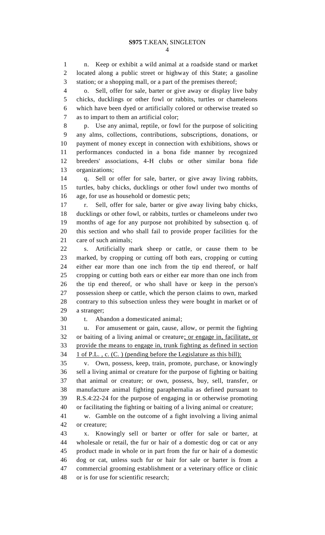n. Keep or exhibit a wild animal at a roadside stand or market located along a public street or highway of this State; a gasoline station; or a shopping mall, or a part of the premises thereof;

 o. Sell, offer for sale, barter or give away or display live baby chicks, ducklings or other fowl or rabbits, turtles or chameleons which have been dyed or artificially colored or otherwise treated so as to impart to them an artificial color;

 p. Use any animal, reptile, or fowl for the purpose of soliciting any alms, collections, contributions, subscriptions, donations, or payment of money except in connection with exhibitions, shows or performances conducted in a bona fide manner by recognized breeders' associations, 4-H clubs or other similar bona fide organizations;

 q. Sell or offer for sale, barter, or give away living rabbits, turtles, baby chicks, ducklings or other fowl under two months of age, for use as household or domestic pets;

 r. Sell, offer for sale, barter or give away living baby chicks, ducklings or other fowl, or rabbits, turtles or chameleons under two months of age for any purpose not prohibited by subsection q. of this section and who shall fail to provide proper facilities for the care of such animals;

 s. Artificially mark sheep or cattle, or cause them to be marked, by cropping or cutting off both ears, cropping or cutting either ear more than one inch from the tip end thereof, or half cropping or cutting both ears or either ear more than one inch from the tip end thereof, or who shall have or keep in the person's possession sheep or cattle, which the person claims to own, marked contrary to this subsection unless they were bought in market or of a stranger;

t. Abandon a domesticated animal;

 u. For amusement or gain, cause, allow, or permit the fighting or baiting of a living animal or creature; or engage in, facilitate, or provide the means to engage in, trunk fighting as defined in section 1 of P.L. , c. (C. ) (pending before the Legislature as this bill);

 v. Own, possess, keep, train, promote, purchase, or knowingly sell a living animal or creature for the purpose of fighting or baiting that animal or creature; or own, possess, buy, sell, transfer, or manufacture animal fighting paraphernalia as defined pursuant to R.S.4:22-24 for the purpose of engaging in or otherwise promoting or facilitating the fighting or baiting of a living animal or creature;

 w. Gamble on the outcome of a fight involving a living animal or creature;

 x. Knowingly sell or barter or offer for sale or barter, at wholesale or retail, the fur or hair of a domestic dog or cat or any product made in whole or in part from the fur or hair of a domestic dog or cat, unless such fur or hair for sale or barter is from a commercial grooming establishment or a veterinary office or clinic or is for use for scientific research;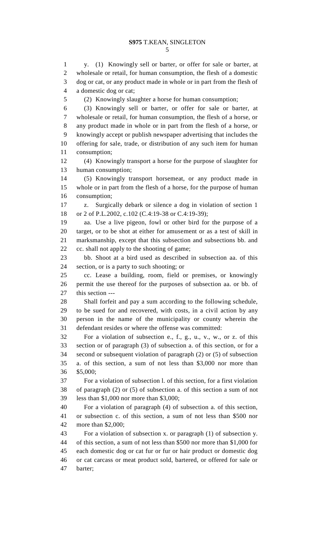y. (1) Knowingly sell or barter, or offer for sale or barter, at wholesale or retail, for human consumption, the flesh of a domestic dog or cat, or any product made in whole or in part from the flesh of a domestic dog or cat;

(2) Knowingly slaughter a horse for human consumption;

 (3) Knowingly sell or barter, or offer for sale or barter, at wholesale or retail, for human consumption, the flesh of a horse, or any product made in whole or in part from the flesh of a horse, or knowingly accept or publish newspaper advertising that includes the offering for sale, trade, or distribution of any such item for human consumption;

 (4) Knowingly transport a horse for the purpose of slaughter for human consumption;

 (5) Knowingly transport horsemeat, or any product made in whole or in part from the flesh of a horse, for the purpose of human consumption;

 z. Surgically debark or silence a dog in violation of section 1 or 2 of P.L.2002, c.102 (C.4:19-38 or C.4:19-39);

 aa. Use a live pigeon, fowl or other bird for the purpose of a target, or to be shot at either for amusement or as a test of skill in marksmanship, except that this subsection and subsections bb. and cc. shall not apply to the shooting of game;

 bb. Shoot at a bird used as described in subsection aa. of this section, or is a party to such shooting; or

 cc. Lease a building, room, field or premises, or knowingly permit the use thereof for the purposes of subsection aa. or bb. of this section ---

 Shall forfeit and pay a sum according to the following schedule, to be sued for and recovered, with costs, in a civil action by any person in the name of the municipality or county wherein the defendant resides or where the offense was committed:

 For a violation of subsection e., f., g., u., v., w., or z. of this section or of paragraph (3) of subsection a. of this section, or for a second or subsequent violation of paragraph (2) or (5) of subsection a. of this section, a sum of not less than \$3,000 nor more than \$5,000;

 For a violation of subsection l. of this section, for a first violation of paragraph (2) or (5) of subsection a. of this section a sum of not less than \$1,000 nor more than \$3,000;

 For a violation of paragraph (4) of subsection a. of this section, or subsection c. of this section, a sum of not less than \$500 nor more than \$2,000;

 For a violation of subsection x. or paragraph (1) of subsection y. of this section, a sum of not less than \$500 nor more than \$1,000 for each domestic dog or cat fur or fur or hair product or domestic dog or cat carcass or meat product sold, bartered, or offered for sale or barter;